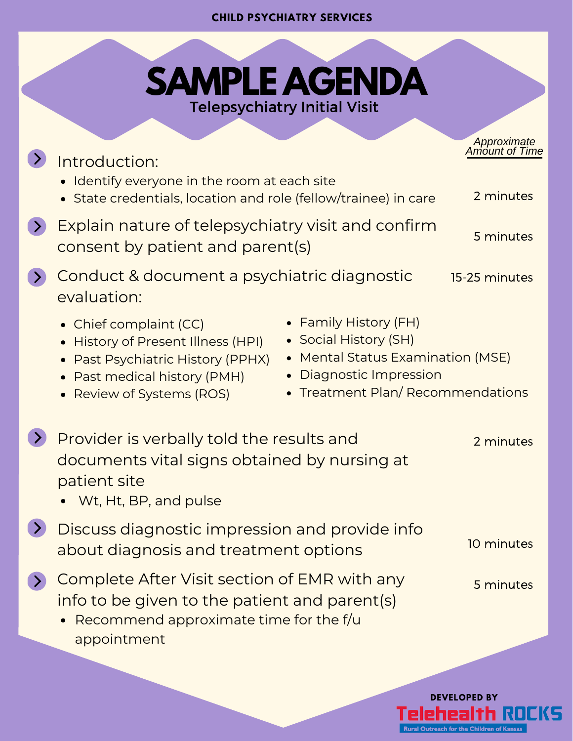## **CHILD PSYCHIATRY SERVICES**

**Contract Contract Contract Contract** 

| <b>SAMPLE AGENDA</b><br><b>Telepsychiatry Initial Visit</b>                                                                                                                                                                                                                                                               |                                            |
|---------------------------------------------------------------------------------------------------------------------------------------------------------------------------------------------------------------------------------------------------------------------------------------------------------------------------|--------------------------------------------|
| Introduction:<br>• Identify everyone in the room at each site<br>• State credentials, location and role (fellow/trainee) in care                                                                                                                                                                                          | Approximate<br>Amount of Time<br>2 minutes |
| Explain nature of telepsychiatry visit and confirm<br>consent by patient and parent(s)                                                                                                                                                                                                                                    | 5 minutes                                  |
| Conduct & document a psychiatric diagnostic<br>evaluation:                                                                                                                                                                                                                                                                | 15-25 minutes                              |
| • Family History (FH)<br>• Chief complaint (CC)<br>• Social History (SH)<br>• History of Present Illness (HPI)<br>• Mental Status Examination (MSE)<br>• Past Psychiatric History (PPHX)<br><b>Diagnostic Impression</b><br>• Past medical history (PMH)<br>• Treatment Plan/Recommendations<br>• Review of Systems (ROS) |                                            |
| Provider is verbally told the results and<br>documents vital signs obtained by nursing at<br>patient site<br>Wt, Ht, BP, and pulse                                                                                                                                                                                        | 2 minutes                                  |
| Discuss diagnostic impression and provide info<br>about diagnosis and treatment options                                                                                                                                                                                                                                   | 10 minutes                                 |
| Complete After Visit section of EMR with any<br>info to be given to the patient and parent(s)<br>Recommend approximate time for the f/u<br>appointment                                                                                                                                                                    | 5 minutes                                  |
|                                                                                                                                                                                                                                                                                                                           |                                            |